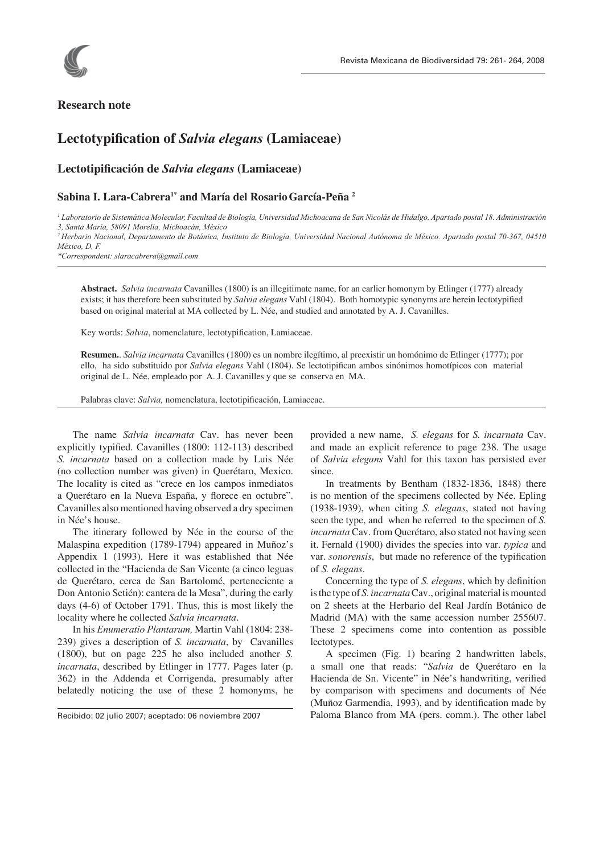

## **Research note**

# **Lectotypifi cation of** *Salvia elegans* **(Lamiaceae)**

### **Lectotipifi cación de** *Salvia elegans* **(Lamiaceae)**

#### **Sabina I. Lara-Cabrera1\* and María del RosarioGarcía-Peña 2**

*1 Laboratorio de Sistemática Molecular, Facultad de Biología, Universidad Michoacana de San Nicolás de Hidalgo. Apartado postal 18. Administración 3, Santa María, 58091 Morelia, Michoacán, México*

*2 Herbario Nacional, Departamento de Botánica, Instituto de Biología, Universidad Nacional Autónoma de México. Apartado postal 70-367, 04510 México, D. F.*

*\*Correspondent: slaracabrera@gmail.com*

**Abstract.** *Salvia incarnata* Cavanilles (1800) is an illegitimate name, for an earlier homonym by Etlinger (1777) already exists; it has therefore been substituted by *Salvia elegans* Vahl (1804). Both homotypic synonyms are herein lectotypified based on original material at MA collected by L. Née, and studied and annotated by A. J. Cavanilles.

Key words: *Salvia*, nomenclature, lectotypification, Lamiaceae.

**Resumen.**. *Salvia incarnata* Cavanilles (1800) es un nombre ilegítimo, al preexistir un homónimo de Etlinger (1777); por ello, ha sido substituido por *Salvia elegans* Vahl (1804). Se lectotipifican ambos sinónimos homotípicos con material original de L. Née, empleado por A. J. Cavanilles y que se conserva en MA.

Palabras clave: *Salvia*, nomenclatura, lectotipificación, Lamiaceae.

The name *Salvia incarnata* Cav. has never been explicitly typified. Cavanilles (1800: 112-113) described *S. incarnata* based on a collection made by Luis Née (no collection number was given) in Querétaro, Mexico. The locality is cited as "crece en los campos inmediatos a Querétaro en la Nueva España, y florece en octubre". Cavanilles also mentioned having observed a dry specimen in Née's house.

The itinerary followed by Née in the course of the Malaspina expedition (1789-1794) appeared in Muñoz's Appendix 1 (1993). Here it was established that Née collected in the "Hacienda de San Vicente (a cinco leguas de Querétaro, cerca de San Bartolomé, perteneciente a Don Antonio Setién): cantera de la Mesa", during the early days (4-6) of October 1791. Thus, this is most likely the locality where he collected *Salvia incarnata*.

In his *Enumeratio Plantarum,* Martin Vahl (1804: 238- 239) gives a description of *S. incarnata*, by Cavanilles (1800), but on page 225 he also included another *S. incarnata*, described by Etlinger in 1777. Pages later (p. 362) in the Addenda et Corrigenda, presumably after belatedly noticing the use of these 2 homonyms, he

Recibido: 02 julio 2007; aceptado: 06 noviembre 2007

provided a new name, *S. elegans* for *S. incarnata* Cav. and made an explicit reference to page 238. The usage of *Salvia elegans* Vahl for this taxon has persisted ever since.

In treatments by Bentham (1832-1836, 1848) there is no mention of the specimens collected by Née. Epling (1938-1939), when citing *S. elegans*, stated not having seen the type, and when he referred to the specimen of *S. incarnata* Cav. from Querétaro, also stated not having seen it. Fernald (1900) divides the species into var. *typica* and var. *sonorensis*, but made no reference of the typification of *S. elegans*.

Concerning the type of *S. elegans*, which by definition is the type of *S. incarnata* Cav., original material is mounted on 2 sheets at the Herbario del Real Jardín Botánico de Madrid (MA) with the same accession number 255607. These 2 specimens come into contention as possible lectotypes.

A specimen (Fig. 1) bearing 2 handwritten labels, a small one that reads: "*Salvia* de Querétaro en la Hacienda de Sn. Vicente" in Née's handwriting, verified by comparison with specimens and documents of Née (Muñoz Garmendia, 1993), and by identification made by Paloma Blanco from MA (pers. comm.). The other label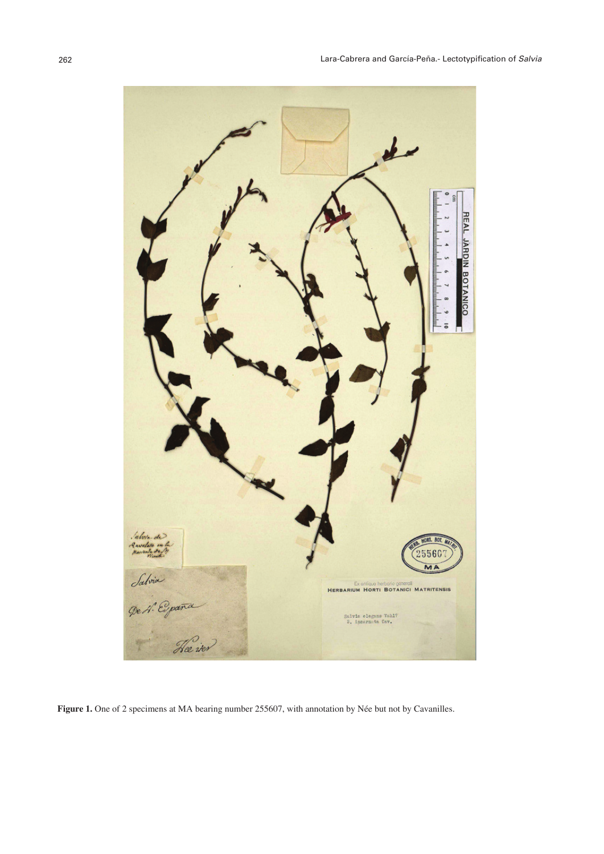

**Figure 1.** One of 2 specimens at MA bearing number 255607, with annotation by Née but not by Cavanilles.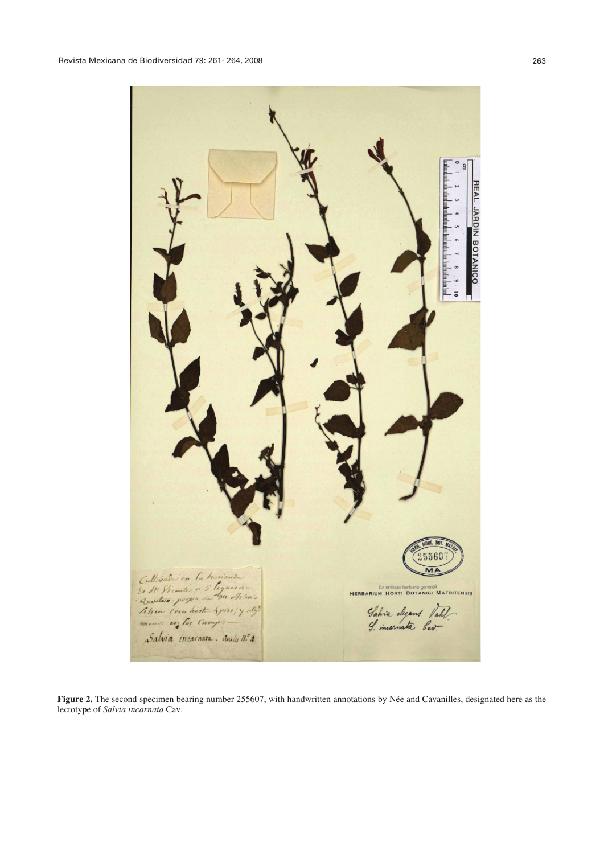NRO **BOTANICO**  $5560$  $\overline{M}$ Cultiviados en la hacionda<br>Se IN Vicante a 5 legunieros<br>Quodas proporta da Netonia<br>Setien (reachasta Grieci y algunieros) Ex entique herbarie generali<br>HERBARIUM HORTI BOTANICI MATRITENSIS Gahria cleans Vahl Salvia incarnata. Analy nº 4.

**Figure 2.** The second specimen bearing number 255607, with handwritten annotations by Née and Cavanilles, designated here as the lectotype of *Salvia incarnata* Cav.